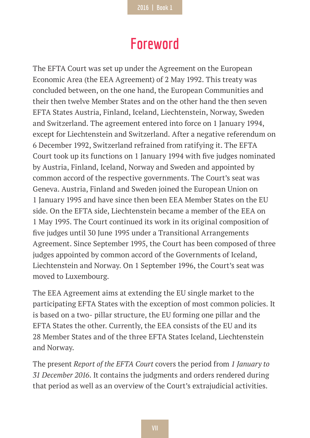## **Foreword**

The EFTA Court was set up under the Agreement on the European Economic Area (the EEA Agreement) of 2 May 1992. This treaty was concluded between, on the one hand, the European Communities and their then twelve Member States and on the other hand the then seven EFTA States Austria, Finland, Iceland, Liechtenstein, Norway, Sweden and Switzerland. The agreement entered into force on 1 January 1994, except for Liechtenstein and Switzerland. After a negative referendum on 6 December 1992, Switzerland refrained from ratifying it. The EFTA Court took up its functions on 1 January 1994 with five judges nominated by Austria, Finland, Iceland, Norway and Sweden and appointed by common accord of the respective governments. The Court's seat was Geneva. Austria, Finland and Sweden joined the European Union on 1 January 1995 and have since then been EEA Member States on the EU side. On the EFTA side, Liechtenstein became a member of the EEA on 1 May 1995. The Court continued its work in its original composition of five judges until 30 June 1995 under a Transitional Arrangements Agreement. Since September 1995, the Court has been composed of three judges appointed by common accord of the Governments of Iceland, Liechtenstein and Norway. On 1 September 1996, the Court's seat was moved to Luxembourg.

The EEA Agreement aims at extending the EU single market to the participating EFTA States with the exception of most common policies. It is based on a two- pillar structure, the EU forming one pillar and the EFTA States the other. Currently, the EEA consists of the EU and its 28 Member States and of the three EFTA States Iceland, Liechtenstein and Norway.

The present *Report of the EFTA Court* covers the period from *1 January to 31 December 2016*. It contains the judgments and orders rendered during that period as well as an overview of the Court's extrajudicial activities.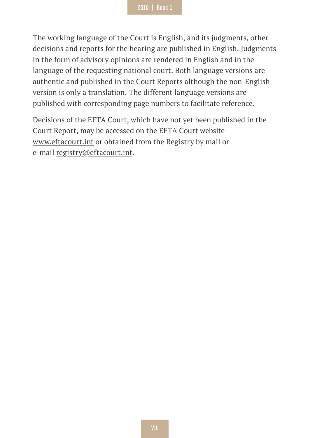The working language of the Court is English, and its judgments, other decisions and reports for the hearing are published in English. Judgments in the form of advisory opinions are rendered in English and in the language of the requesting national court. Both language versions are authentic and published in the Court Reports although the non-English version is only a translation. The different language versions are published with corresponding page numbers to facilitate reference.

Decisions of the EFTA Court, which have not yet been published in the Court Report, may be accessed on the EFTA Court website www.eftacourt.int or obtained from the Registry by mail or e-mail registry@eftacourt.int.